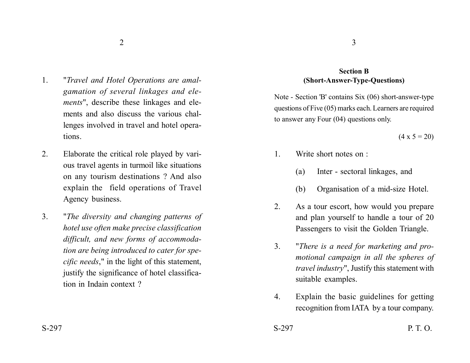- 1. "*Travel and Hotel Operations are amalgamation of several linkages and elements*", describe these linkages and elements and also discuss the various challenges involved in travel and hotel operations.
- 2. Elaborate the critical role played by various travel agents in turmoil like situations on any tourism destinations ? And also explain the field operations of Travel Agency business.
- 3. "*The diversity and changing patterns of hotel use often make precise classification difficult, and new forms of accommodation are being introduced to cater for specific needs*," in the light of this statement, justify the significance of hotel classification in Indain context ?

## **Section B (Short-Answer-Type-Questions)**

Note - Section 'B' contains Six (06) short-answer-type questions of Five (05) marks each. Learners are required to answer any Four (04) questions only.

 $(4 \times 5 = 20)$ 

- 1. Write short notes on :
	- (a) Inter sectoral linkages, and
	- (b) Organisation of a mid-size Hotel.
- 2. As a tour escort, how would you prepare and plan yourself to handle a tour of 20 Passengers to visit the Golden Triangle.
- 3. "*There is a need for marketing and promotional campaign in all the spheres of travel industry*", Justify this statement with suitable examples.
- 4. Explain the basic guidelines for getting recognition from IATA by a tour company.
- $S-297$  P. T. O.